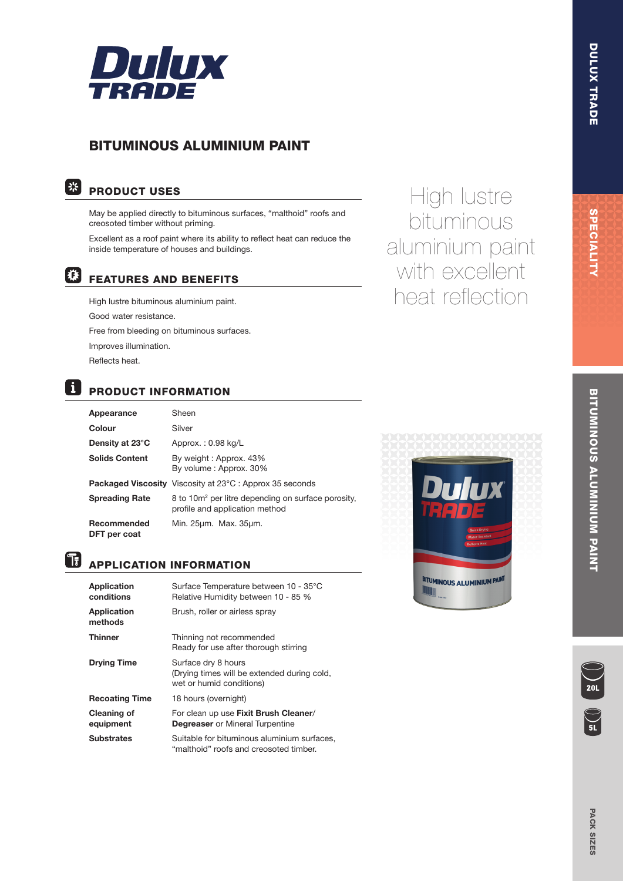

# BITUMINOUS ALUMINIUM PAINT

# | 米|

# PRODUCT USES

May be applied directly to bituminous surfaces, "malthoid" roofs and creosoted timber without priming.

Excellent as a roof paint where its ability to reflect heat can reduce the inside temperature of houses and buildings.

### |梯| FEATURES AND BENEFITS

High lustre bituminous aluminium paint. Good water resistance. Free from bleeding on bituminous surfaces. Improves illumination. Reflects heat.

# **B** PRODUCT INFORMATION

| Appearance                  | Sheen                                                                                            |
|-----------------------------|--------------------------------------------------------------------------------------------------|
| Colour                      | Silver                                                                                           |
| Density at 23°C             | Approx.: 0.98 kg/L                                                                               |
| <b>Solids Content</b>       | By weight: Approx. 43%<br>By volume: Approx. 30%                                                 |
|                             | <b>Packaged Viscosity</b> Viscosity at 23°C : Approx 35 seconds                                  |
| <b>Spreading Rate</b>       | 8 to 10m <sup>2</sup> per litre depending on surface porosity,<br>profile and application method |
| Recommended<br>DFT per coat | Min. 25um. Max. 35um.                                                                            |

# **APPLICATION INFORMATION**

| <b>Application</b><br>conditions | Surface Temperature between 10 - 35°C<br>Relative Humidity between 10 - 85 %                   |
|----------------------------------|------------------------------------------------------------------------------------------------|
| <b>Application</b><br>methods    | Brush, roller or airless spray                                                                 |
| Thinner                          | Thinning not recommended<br>Ready for use after thorough stirring                              |
| <b>Drying Time</b>               | Surface dry 8 hours<br>(Drying times will be extended during cold,<br>wet or humid conditions) |
| <b>Recoating Time</b>            | 18 hours (overnight)                                                                           |
| <b>Cleaning of</b><br>equipment  | For clean up use Fixit Brush Cleaner/<br><b>Degreaser</b> or Mineral Turpentine                |
| Substrates                       | Suitable for bituminous aluminium surfaces,<br>"malthoid" roofs and creosoted timber.          |



High lustre

bituminous

aluminium paint

with excellent

heat reflection



# **BITUMINOUS ALUMINIUM PAINT** BITUMINOUS ALUMINIUM PAINT

DULUX TRADE

DULUX TRADE